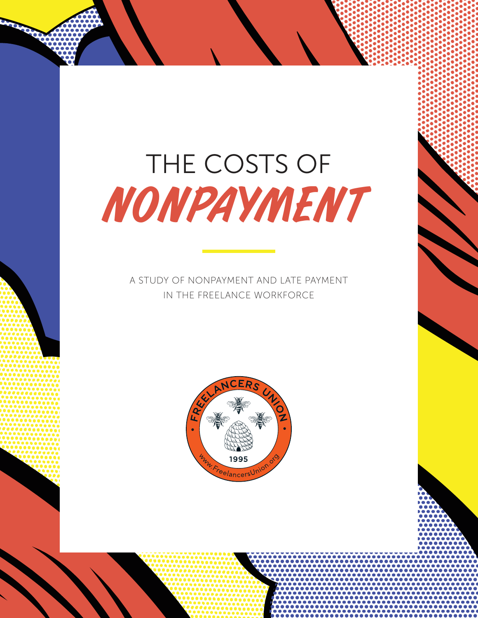# THE COSTS OF NONPAYMENT

A STUDY OF NONPAYMENT AND LATE PAYMENT IN THE FREELANCE WORKFORCE

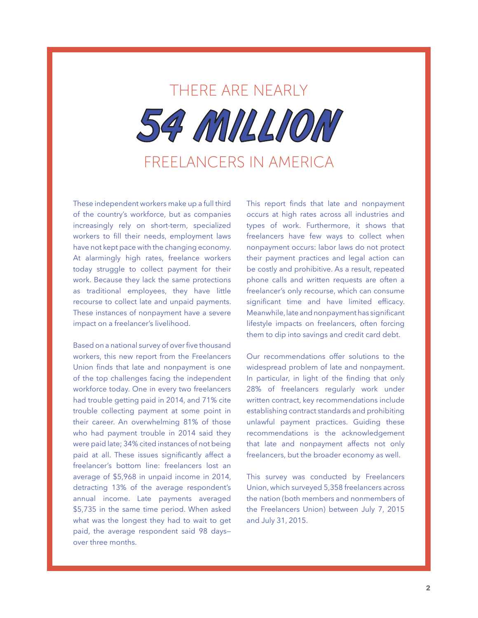

These independent workers make up a full third of the country's workforce, but as companies increasingly rely on short-term, specialized workers to fill their needs, employment laws have not kept pace with the changing economy. At alarmingly high rates, freelance workers today struggle to collect payment for their work. Because they lack the same protections as traditional employees, they have little recourse to collect late and unpaid payments. These instances of nonpayment have a severe impact on a freelancer's livelihood.

Based on a national survey of over five thousand workers, this new report from the Freelancers Union finds that late and nonpayment is one of the top challenges facing the independent workforce today. One in every two freelancers had trouble getting paid in 2014, and 71% cite trouble collecting payment at some point in their career. An overwhelming 81% of those who had payment trouble in 2014 said they were paid late; 34% cited instances of not being paid at all. These issues significantly affect a freelancer's bottom line: freelancers lost an average of \$5,968 in unpaid income in 2014, detracting 13% of the average respondent's annual income. Late payments averaged \$5,735 in the same time period. When asked what was the longest they had to wait to get paid, the average respondent said 98 days over three months.

This report finds that late and nonpayment occurs at high rates across all industries and types of work. Furthermore, it shows that freelancers have few ways to collect when nonpayment occurs: labor laws do not protect their payment practices and legal action can be costly and prohibitive. As a result, repeated phone calls and written requests are often a freelancer's only recourse, which can consume significant time and have limited efficacy. Meanwhile, late and nonpayment has significant lifestyle impacts on freelancers, often forcing them to dip into savings and credit card debt.

Our recommendations offer solutions to the widespread problem of late and nonpayment. In particular, in light of the finding that only 28% of freelancers regularly work under written contract, key recommendations include establishing contract standards and prohibiting unlawful payment practices. Guiding these recommendations is the acknowledgement that late and nonpayment affects not only freelancers, but the broader economy as well.

This survey was conducted by Freelancers Union, which surveyed 5,358 freelancers across the nation (both members and nonmembers of the Freelancers Union) between July 7, 2015 and July 31, 2015.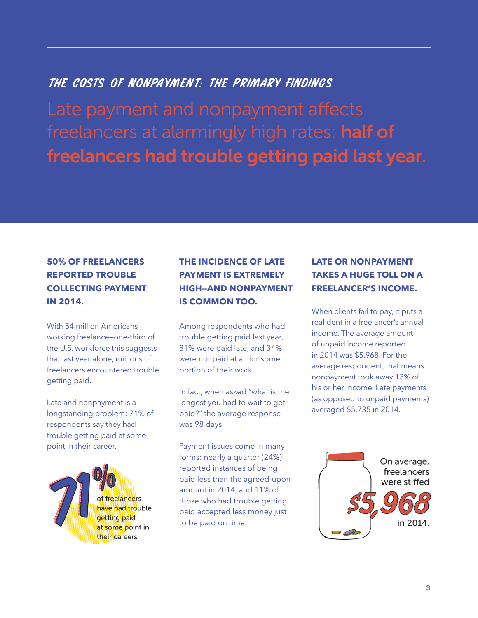## THE COSTS OF NONPAYMENT: THE PRIMARY FINDINGS

freelancers at alarmingly high rates: half of freelancers had trouble getting paid last year.

### **50% OF FREELANCERS REPORTED TROUBLE COLLECTING PAYMENT IN 2014.**

With 54 million Americans working freelance—one-third of the U.S. workforce this suggests that last year alone, millions of freelancers encountered trouble getting paid.

Late and nonpayment is a longstanding problem: 71% of respondents say they had trouble getting paid at some point in their career.

> of freelancers have had trouble getting paid at some point in their careers.

## **THE INCIDENCE OF LATE PAYMENT IS EXTREMELY HIGH—AND NONPAYMENT IS COMMON TOO.**

Among respondents who had trouble getting paid last year, 81% were paid late, and 34% were not paid at all for some portion of their work.

In fact, when asked "what is the longest you had to wait to get paid?" the average response was 98 days.

Payment issues come in many forms: nearly a quarter (24%) reported instances of being paid less than the agreed-upon amount in 2014, and 11% of those who had trouble getting paid accepted less money just to be paid on time.

#### **LATE OR NONPAYMENT TAKES A HUGE TOLL ON A FREELANCER'S INCOME.**

When clients fail to pay, it puts a real dent in a freelancer's annual income. The average amount of unpaid income reported in 2014 was \$5,968. For the average respondent, that means nonpayment took away 13% of his or her income. Late payments (as opposed to unpaid payments) averaged \$5,735 in 2014.

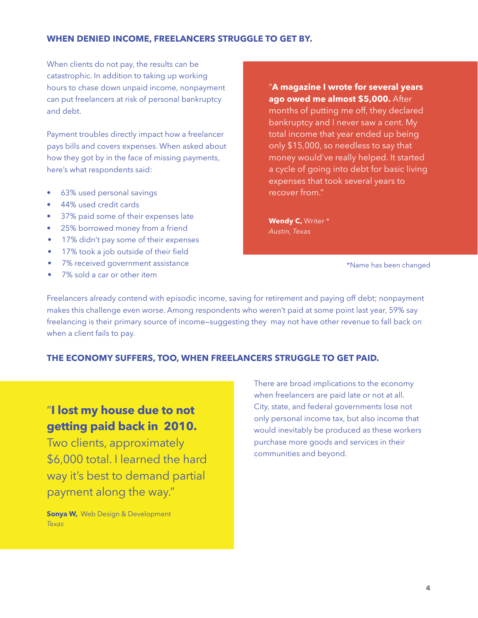#### **WHEN DENIED INCOME, FREELANCERS STRUGGLE TO GET BY.**

When clients do not pay, the results can be catastrophic. In addition to taking up working hours to chase down unpaid income, nonpayment can put freelancers at risk of personal bankruptcy and debt.

Payment troubles directly impact how a freelancer pays bills and covers expenses. When asked about how they got by in the face of missing payments, here's what respondents said:

- 63% used personal savings
- 44% used credit cards
- 37% paid some of their expenses late
- 25% borrowed money from a friend
- 17% didn't pay some of their expenses
- 17% took a job outside of their field
- 7% received government assistance
- 7% sold a car or other item

"**A magazine I wrote for several years ago owed me almost \$5,000.** After months of putting me off, they declared bankruptcy and I never saw a cent. My total income that year ended up being only \$15,000, so needless to say that money would've really helped. It started a cycle of going into debt for basic living expenses that took several years to recover from."

**Wendy C,** Writer \* *Austin, Texas***as** 

\*Name has been changed

Freelancers already contend with episodic income, saving for retirement and paying off debt; nonpayment makes this challenge even worse. Among respondents who weren't paid at some point last year, 59% say freelancing is their primary source of income—suggesting they may not have other revenue to fall back on when a client fails to pay.

#### **THE ECONOMY SUFFERS, TOO, WHEN FREELANCERS STRUGGLE TO GET PAID.**

## "**I lost my house due to not getting paid back in 2010.**

Two clients, approximately \$6,000 total. I learned the hard way it's best to demand partial payment along the way."

**Sonya W,** Web Design & Development *Texas*

There are broad implications to the economy when freelancers are paid late or not at all. City, state, and federal governments lose not only personal income tax, but also income that would inevitably be produced as these workers purchase more goods and services in their communities and beyond.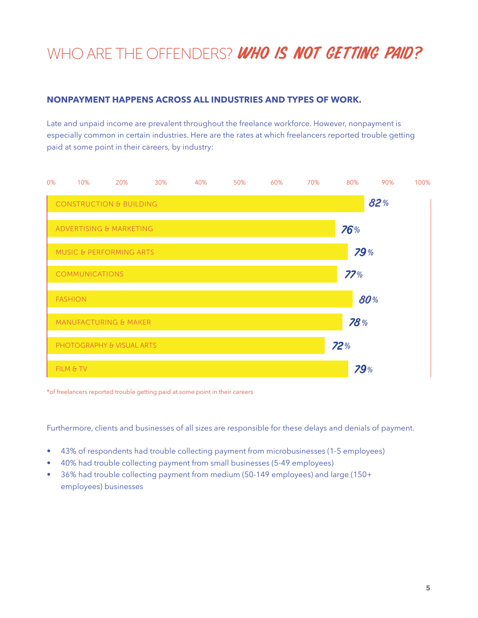## WHO ARE THE OFFENDERS? WHO IS NOT GETTING PAID?

#### **NONPAYMENT HAPPENS ACROSS ALL INDUSTRIES AND TYPES OF WORK.**

Late and unpaid income are prevalent throughout the freelance workforce. However, nonpayment is especially common in certain industries. Here are the rates at which freelancers reported trouble getting paid at some point in their careers, by industry:



\*of freelancers reported trouble getting paid at some point in their careers

Furthermore, clients and businesses of all sizes are responsible for these delays and denials of payment.

- 43% of respondents had trouble collecting payment from microbusinesses (1-5 employees)
- 40% had trouble collecting payment from small businesses (5-49 employees)
- 36% had trouble collecting payment from medium (50-149 employees) and large (150+ employees) businesses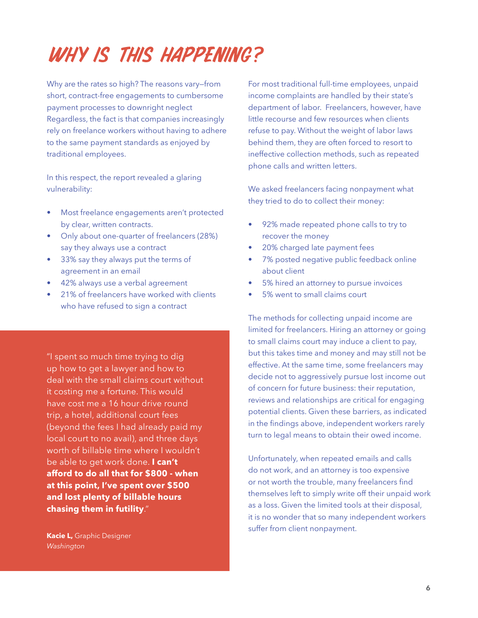# Why is this happening?

Why are the rates so high? The reasons vary—from short, contract-free engagements to cumbersome payment processes to downright neglect Regardless, the fact is that companies increasingly rely on freelance workers without having to adhere to the same payment standards as enjoyed by traditional employees.

In this respect, the report revealed a glaring vulnerability:

- Most freelance engagements aren't protected by clear, written contracts.
- Only about one-quarter of freelancers (28%) say they always use a contract
- 33% say they always put the terms of agreement in an email
- 42% always use a verbal agreement
- 21% of freelancers have worked with clients who have refused to sign a contract

"I spent so much time trying to dig up how to get a lawyer and how to deal with the small claims court without it costing me a fortune. This would have cost me a 16 hour drive round trip, a hotel, additional court fees (beyond the fees I had already paid my local court to no avail), and three days worth of billable time where I wouldn't be able to get work done. **I can't afford to do all that for \$800 - when at this point, I've spent over \$500 and lost plenty of billable hours chasing them in futility**."

**Kacie L,** Graphic Designer *Washington*

For most traditional full-time employees, unpaid income complaints are handled by their state's department of labor. Freelancers, however, have little recourse and few resources when clients refuse to pay. Without the weight of labor laws behind them, they are often forced to resort to ineffective collection methods, such as repeated phone calls and written letters.

We asked freelancers facing nonpayment what they tried to do to collect their money:

- 92% made repeated phone calls to try to recover the money
- 20% charged late payment fees
- 7% posted negative public feedback online about client
- 5% hired an attorney to pursue invoices
- 5% went to small claims court

The methods for collecting unpaid income are limited for freelancers. Hiring an attorney or going to small claims court may induce a client to pay, but this takes time and money and may still not be effective. At the same time, some freelancers may decide not to aggressively pursue lost income out of concern for future business: their reputation, reviews and relationships are critical for engaging potential clients. Given these barriers, as indicated in the findings above, independent workers rarely turn to legal means to obtain their owed income.

Unfortunately, when repeated emails and calls do not work, and an attorney is too expensive or not worth the trouble, many freelancers find themselves left to simply write off their unpaid work as a loss. Given the limited tools at their disposal, it is no wonder that so many independent workers suffer from client nonpayment.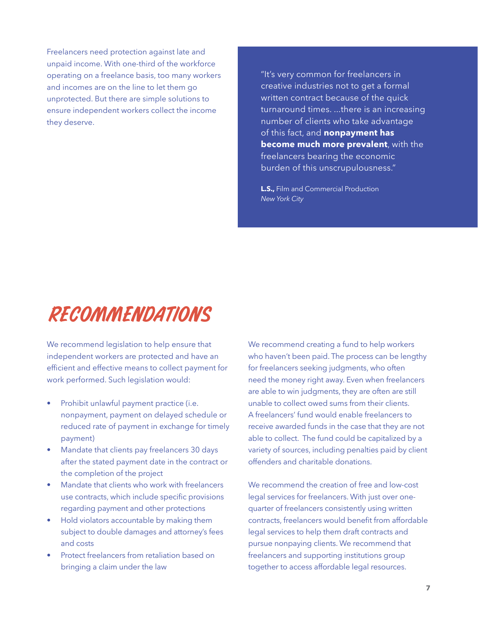Freelancers need protection against late and unpaid income. With one-third of the workforce operating on a freelance basis, too many workers and incomes are on the line to let them go unprotected. But there are simple solutions to ensure independent workers collect the income they deserve.

"It's very common for freelancers in creative industries not to get a formal written contract because of the quick turnaround times. ...there is an increasing number of clients who take advantage of this fact, and **nonpayment has become much more prevalent**, with the freelancers bearing the economic burden of this unscrupulousness."

**L.S.,** Film and Commercial Production *New York City*

# Recommendations

We recommend legislation to help ensure that independent workers are protected and have an efficient and effective means to collect payment for work performed. Such legislation would:

- Prohibit unlawful payment practice (i.e. nonpayment, payment on delayed schedule or reduced rate of payment in exchange for timely payment)
- Mandate that clients pay freelancers 30 days after the stated payment date in the contract or the completion of the project
- Mandate that clients who work with freelancers use contracts, which include specific provisions regarding payment and other protections
- Hold violators accountable by making them subject to double damages and attorney's fees and costs
- Protect freelancers from retaliation based on bringing a claim under the law

We recommend creating a fund to help workers who haven't been paid. The process can be lengthy for freelancers seeking judgments, who often need the money right away. Even when freelancers are able to win judgments, they are often are still unable to collect owed sums from their clients. A freelancers' fund would enable freelancers to receive awarded funds in the case that they are not able to collect. The fund could be capitalized by a variety of sources, including penalties paid by client offenders and charitable donations.

We recommend the creation of free and low-cost legal services for freelancers. With just over onequarter of freelancers consistently using written contracts, freelancers would benefit from affordable legal services to help them draft contracts and pursue nonpaying clients. We recommend that freelancers and supporting institutions group together to access affordable legal resources.